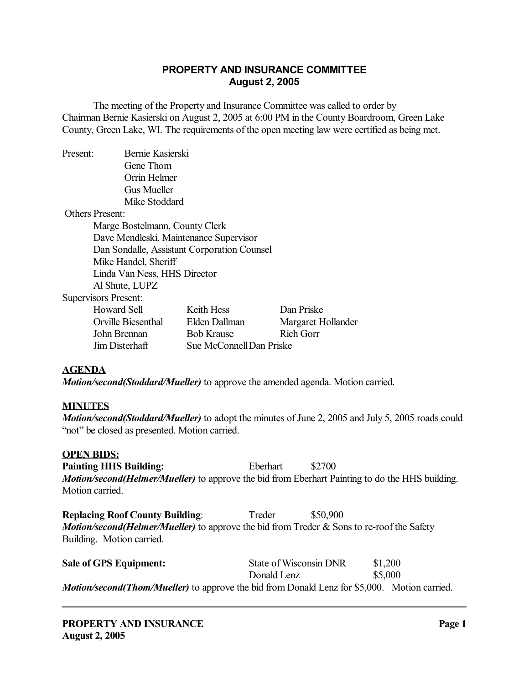## **PROPERTY AND INSURANCE COMMITTEE August 2, 2005**

 The meeting of the Property and Insurance Committee was called to order by Chairman Bernie Kasierski on August 2, 2005 at 6:00 PM in the County Boardroom, Green Lake County, Green Lake, WI. The requirements of the open meeting law were certified as being met.

Present: Bernie Kasierski Gene Thom Orrin Helmer Gus Mueller Mike Stoddard

Others Present:

 Marge Bostelmann, County Clerk Dave Mendleski, Maintenance Supervisor Dan Sondalle, Assistant Corporation Counsel Mike Handel, Sheriff Linda Van Ness, HHS Director Al Shute, LUPZ

Supervisors Present:

| <b>Howard Sell</b> | Keith Hess               | Dan Priske         |
|--------------------|--------------------------|--------------------|
| Orville Biesenthal | Elden Dallman            | Margaret Hollander |
| John Brennan       | <b>Bob Krause</b>        | Rich Gorr          |
| Jim Disterhaft     | Sue McConnell Dan Priske |                    |

## **AGENDA**

*Motion/second(Stoddard/Mueller)* to approve the amended agenda. Motion carried.

## **MINUTES**

*Motion/second(Stoddard/Mueller)* to adopt the minutes of June 2, 2005 and July 5, 2005 roads could "not" be closed as presented. Motion carried.

#### **OPEN BIDS:**

**Painting HHS Building:** Eberhart \$2700 *Motion/second(Helmer/Mueller)* to approve the bid from Eberhart Painting to do the HHS building. Motion carried.

**Replacing Roof County Building:** Treder \$50,900 *Motion/second(Helmer/Mueller)* to approve the bid from Treder & Sons to re-roof the Safety Building. Motion carried.

| <b>Sale of GPS Equipment:</b>                                                                       | State of Wisconsin DNR | \$1,200 |  |
|-----------------------------------------------------------------------------------------------------|------------------------|---------|--|
|                                                                                                     | Donald Lenz            | \$5,000 |  |
| <b>Motion/second(Thom/Mueller)</b> to approve the bid from Donald Lenz for \$5,000. Motion carried. |                        |         |  |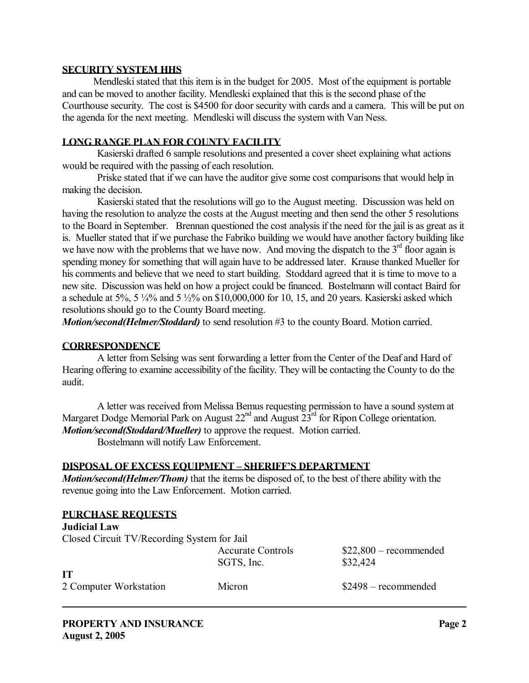#### **SECURITY SYSTEM HHS**

 Mendleski stated that this item is in the budget for 2005. Most of the equipment is portable and can be moved to another facility. Mendleski explained that this is the second phase of the Courthouse security. The cost is \$4500 for door security with cards and a camera. This will be put on the agenda for the next meeting. Mendleski will discuss the system with Van Ness.

#### **LONG RANGE PLAN FOR COUNTY FACILITY**

 Kasierski drafted 6 sample resolutions and presented a cover sheet explaining what actions would be required with the passing of each resolution.

 Priske stated that if we can have the auditor give some cost comparisons that would help in making the decision.

 Kasierski stated that the resolutions will go to the August meeting. Discussion was held on having the resolution to analyze the costs at the August meeting and then send the other 5 resolutions to the Board in September. Brennan questioned the cost analysis if the need for the jail is as great as it is. Mueller stated that if we purchase the Fabriko building we would have another factory building like we have now with the problems that we have now. And moving the dispatch to the  $3<sup>rd</sup>$  floor again is spending money for something that will again have to be addressed later. Krause thanked Mueller for his comments and believe that we need to start building. Stoddard agreed that it is time to move to a new site. Discussion was held on how a project could be financed. Bostelmann will contact Baird for a schedule at 5%, 5  $\frac{1}{4}$ % and 5  $\frac{1}{2}$ % on \$10,000,000 for 10, 15, and 20 years. Kasierski asked which resolutions should go to the County Board meeting.

*Motion/second(Helmer/Stoddard)* to send resolution #3 to the county Board. Motion carried.

#### **CORRESPONDENCE**

 A letter from Selsing was sent forwarding a letter from the Center of the Deaf and Hard of Hearing offering to examine accessibility of the facility. They will be contacting the County to do the audit.

 A letter was received from Melissa Bemus requesting permission to have a sound system at Margaret Dodge Memorial Park on August  $22<sup>nd</sup>$  and August  $23<sup>rd</sup>$  for Ripon College orientation. *Motion/second(Stoddard/Mueller)* to approve the request. Motion carried.

Bostelmann will notify Law Enforcement.

#### **DISPOSAL OF EXCESS EQUIPMENT – SHERIFF'S DEPARTMENT**

*Motion/second(Helmer/Thom)* that the items be disposed of, to the best of there ability with the revenue going into the Law Enforcement. Motion carried.

| <b>PURCHASE REQUESTS</b>                    |                          |                         |  |  |  |
|---------------------------------------------|--------------------------|-------------------------|--|--|--|
| <b>Judicial Law</b>                         |                          |                         |  |  |  |
| Closed Circuit TV/Recording System for Jail |                          |                         |  |  |  |
|                                             | <b>Accurate Controls</b> | $$22,800$ – recommended |  |  |  |
|                                             | SGTS, Inc.               | \$32,424                |  |  |  |
| <b>IT</b>                                   |                          |                         |  |  |  |
| 2 Computer Workstation                      | Micron                   | $$2498 - recommended$   |  |  |  |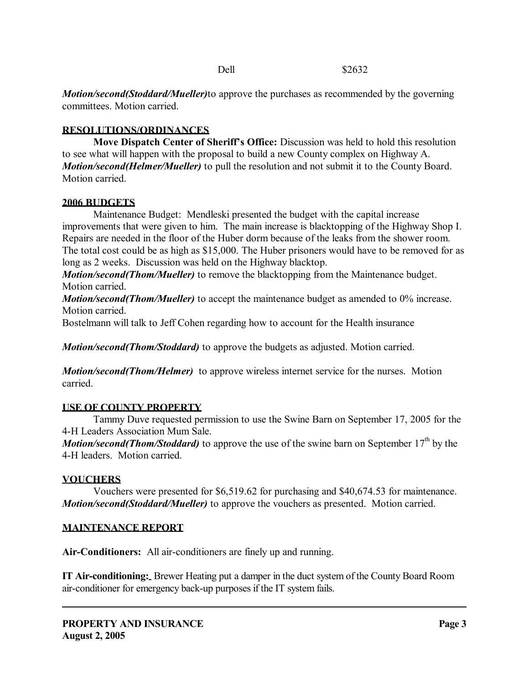Dell \$2632

*Motion/second(Stoddard/Mueller)*to approve the purchases as recommended by the governing

committees. Motion carried.

# **RESOLUTIONS/ORDINANCES**

**Move Dispatch Center of Sheriff's Office:** Discussion was held to hold this resolution to see what will happen with the proposal to build a new County complex on Highway A. *Motion/second(Helmer/Mueller)* to pull the resolution and not submit it to the County Board. Motion carried.

# **2006 BUDGETS**

 Maintenance Budget: Mendleski presented the budget with the capital increase improvements that were given to him. The main increase is blacktopping of the Highway Shop I. Repairs are needed in the floor of the Huber dorm because of the leaks from the shower room. The total cost could be as high as \$15,000. The Huber prisoners would have to be removed for as long as 2 weeks. Discussion was held on the Highway blacktop.

*Motion/second(Thom/Mueller)* to remove the blacktopping from the Maintenance budget. Motion carried.

*Motion/second(Thom/Mueller)* to accept the maintenance budget as amended to 0% increase. Motion carried.

Bostelmann will talk to Jeff Cohen regarding how to account for the Health insurance

*Motion/second(Thom/Stoddard)* to approve the budgets as adjusted. Motion carried.

*Motion/second(Thom/Helmer)* to approve wireless internet service for the nurses. Motion carried.

## **USE OF COUNTY PROPERTY**

 Tammy Duve requested permission to use the Swine Barn on September 17, 2005 for the 4-H Leaders Association Mum Sale.

*Motion/second(Thom/Stoddard)* to approve the use of the swine barn on September 17<sup>th</sup> by the 4-H leaders. Motion carried.

# **VOUCHERS**

 Vouchers were presented for \$6,519.62 for purchasing and \$40,674.53 for maintenance. *Motion/second(Stoddard/Mueller)* to approve the vouchers as presented. Motion carried.

# **MAINTENANCE REPORT**

**Air-Conditioners:** All air-conditioners are finely up and running.

**IT Air-conditioning:** Brewer Heating put a damper in the duct system of the County Board Room air-conditioner for emergency back-up purposes if the IT system fails.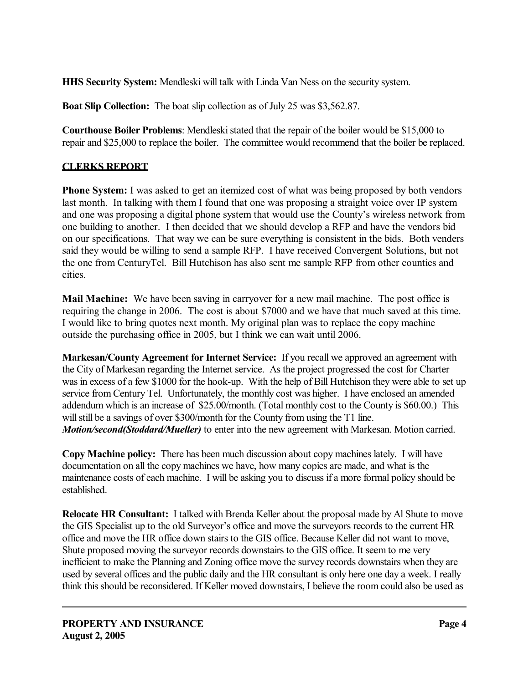**HHS Security System:** Mendleski will talk with Linda Van Ness on the security system.

**Boat Slip Collection:** The boat slip collection as of July 25 was \$3,562.87.

**Courthouse Boiler Problems**: Mendleski stated that the repair of the boiler would be \$15,000 to repair and \$25,000 to replace the boiler. The committee would recommend that the boiler be replaced.

# **CLERKS REPORT**

**Phone System:** I was asked to get an itemized cost of what was being proposed by both vendors last month. In talking with them I found that one was proposing a straight voice over IP system and one was proposing a digital phone system that would use the County's wireless network from one building to another. I then decided that we should develop a RFP and have the vendors bid on our specifications. That way we can be sure everything is consistent in the bids. Both venders said they would be willing to send a sample RFP. I have received Convergent Solutions, but not the one from CenturyTel. Bill Hutchison has also sent me sample RFP from other counties and cities.

**Mail Machine:** We have been saving in carryover for a new mail machine. The post office is requiring the change in 2006. The cost is about \$7000 and we have that much saved at this time. I would like to bring quotes next month. My original plan was to replace the copy machine outside the purchasing office in 2005, but I think we can wait until 2006.

**Markesan/County Agreement for Internet Service:** If you recall we approved an agreement with the City of Markesan regarding the Internet service. As the project progressed the cost for Charter was in excess of a few \$1000 for the hook-up. With the help of Bill Hutchison they were able to set up service from Century Tel. Unfortunately, the monthly cost was higher. I have enclosed an amended addendum which is an increase of \$25.00/month. (Total monthly cost to the County is \$60.00.) This will still be a savings of over \$300/month for the County from using the T1 line. *Motion/second(Stoddard/Mueller)* to enter into the new agreement with Markesan. Motion carried.

**Copy Machine policy:** There has been much discussion about copy machines lately. I will have documentation on all the copy machines we have, how many copies are made, and what is the maintenance costs of each machine. I will be asking you to discuss if a more formal policy should be established.

**Relocate HR Consultant:** I talked with Brenda Keller about the proposal made by Al Shute to move the GIS Specialist up to the old Surveyor's office and move the surveyors records to the current HR office and move the HR office down stairs to the GIS office. Because Keller did not want to move, Shute proposed moving the surveyor records downstairs to the GIS office. It seem to me very inefficient to make the Planning and Zoning office move the survey records downstairs when they are used by several offices and the public daily and the HR consultant is only here one day a week. I really think this should be reconsidered. If Keller moved downstairs, I believe the room could also be used as